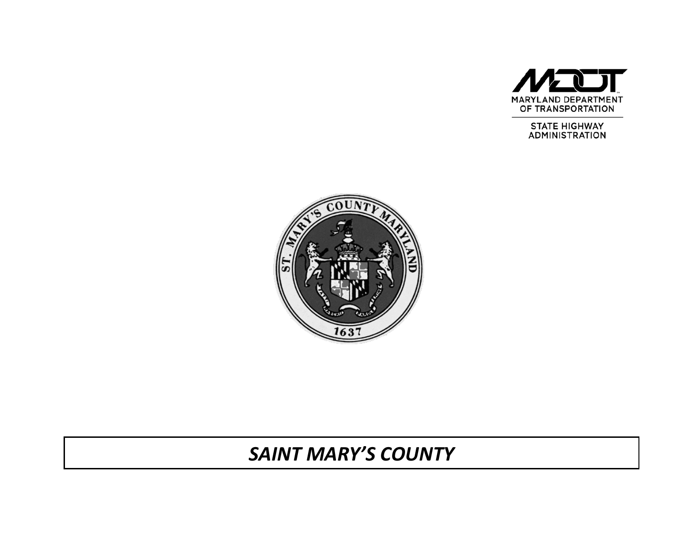

**STATE HIGHWAY ADMINISTRATION** 



# *SAINT MARY'S COUNTY*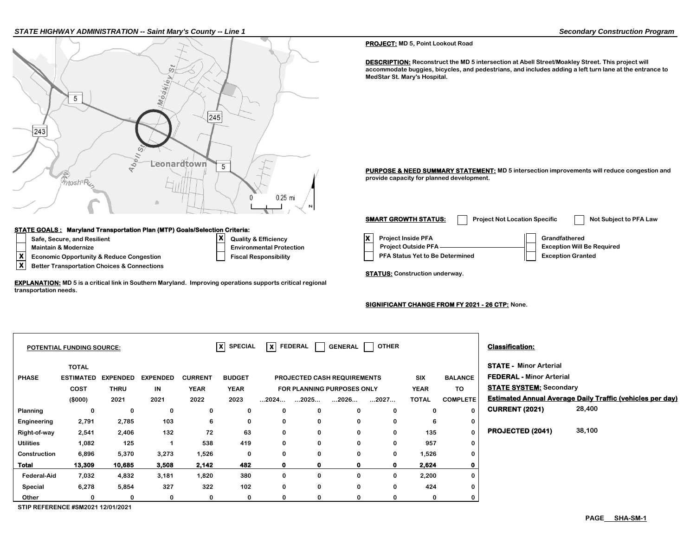#### *STATE HIGHWAY ADMINISTRATION -- Saint Mary's County -- Line 1 Secondary Construction Program*



### **STATE GOALS : Maryland Transportation Plan (MTP) Goals/Selection Criteria:**

- 
- **Maintain & Modernize**
- **Safe, Secure, and Resilient Algebra Brandfathered X Algebra Efficiency X Environmental Protection X**
- **X** Economic Opportunity & Reduce Congestion **Fiscal Responsibility**<br> **X** Better Transportation Choices & Connections

**X Better Transportation Choices & Connections**

**EXPLANATION: MD 5 is a critical link in Southern Maryland. Improving operations supports critical regional transportation needs.**

#### **PROJECT: MD 5, Point Lookout Road**

**DESCRIPTION:** Reconstruct the MD 5 intersection at Abell Street/Moakley Street. This project will **accommodate buggies, bicycles, and pedestrians, and includes adding a left turn lane at the entrance to MedStar St. Mary's Hospital.**

**PURPOSE & NEED SUMMARY STATEMENT:** MD 5 intersection improvements will reduce congestion and **provide capacity for planned development.**

| <b>SMART GROWTH STATUS:</b>                                                                | <b>Project Not Location Specific</b> |               | Not Subject to PFA Law                                        |  |
|--------------------------------------------------------------------------------------------|--------------------------------------|---------------|---------------------------------------------------------------|--|
| <b>Project Inside PFA</b><br><b>Project Outside PFA</b><br>PFA Status Yet to Be Determined |                                      | Grandfathered | <b>Exception Will Be Required</b><br><b>Exception Granted</b> |  |

**STATUS: Construction underway.**

#### **SIGNIFICANT CHANGE FROM FY 2021 - 26 CTP: None.**

|                                    |             |                                                      |                 |               |                      |                                                 |                                      | OTHER |                                                      |                                | <b>Classification:</b>          |                                                                  |
|------------------------------------|-------------|------------------------------------------------------|-----------------|---------------|----------------------|-------------------------------------------------|--------------------------------------|-------|------------------------------------------------------|--------------------------------|---------------------------------|------------------------------------------------------------------|
| <b>TOTAL</b>                       |             |                                                      |                 |               |                      |                                                 |                                      |       |                                                      |                                | <b>STATE - Minor Arterial</b>   |                                                                  |
|                                    |             | <b>EXPENDED</b>                                      | <b>CURRENT</b>  | <b>BUDGET</b> |                      |                                                 |                                      |       | <b>SIX</b>                                           | <b>BALANCE</b>                 | <b>FEDERAL - Minor Arterial</b> |                                                                  |
| COST                               | <b>THRU</b> | IN                                                   | <b>YEAR</b>     | <b>YEAR</b>   |                      | TO<br><b>YEAR</b><br>FOR PLANNING PURPOSES ONLY |                                      |       |                                                      | <b>STATE SYSTEM: Secondary</b> |                                 |                                                                  |
| (\$000)                            | 2021        | 2021                                                 | 2022            | 2023          | $\dots$ 2024 $\dots$ | $\dots$ 2025 $\dots$                            | 2026                                 | 2027  | <b>TOTAL</b>                                         | <b>COMPLETE</b>                |                                 | <b>Estimated Annual Average Daily Traffic (vehicles per day)</b> |
| 0                                  | 0           | 0                                                    | 0               | 0             | 0                    | 0                                               | $\Omega$                             | 0     | 0                                                    | $\Omega$                       | <b>CURRENT (2021)</b>           | 28,400                                                           |
| 2,791                              | 2,785       | 103                                                  | 6               | 0             | 0                    | 0                                               | 0                                    | 0     | 6                                                    | 0                              |                                 |                                                                  |
| 2,541                              | 2,406       | 132                                                  | 72              | 63            | 0                    | 0                                               | $\Omega$                             | 0     | 135                                                  | $\Omega$                       | PROJECTED (2041)                | 38,100                                                           |
| 1,082                              | 125         |                                                      | 538             | 419           | $\mathbf 0$          | $\mathbf 0$                                     | 0                                    | 0     | 957                                                  | $\mathbf 0$                    |                                 |                                                                  |
| 6,896                              | 5,370       | 3,273                                                | 1,526           | 0             | 0                    | 0                                               | 0                                    | 0     |                                                      | 0                              |                                 |                                                                  |
| 13,309                             | 10,685      | 3,508                                                | 2,142           | 482           | $\mathbf{o}$         | $\mathbf o$                                     |                                      | 0     | 2,624                                                | 0                              |                                 |                                                                  |
| 7,032                              | 4,832       | 3,181                                                | 1,820           | 380           | 0                    | 0                                               | 0                                    | 0     |                                                      | 0                              |                                 |                                                                  |
| 6,278                              | 5,854       | 327                                                  | 322             | 102           | $\mathbf 0$          | $\mathbf 0$                                     | $\Omega$                             | 0     | 424                                                  | $\bf{0}$                       |                                 |                                                                  |
| 0                                  | 0           | 0                                                    | 0               | 0             | 0                    | 0                                               |                                      | 0     | 0                                                    | $\mathbf 0$                    |                                 |                                                                  |
| Construction<br><b>Federal-Aid</b> |             | <b>POTENTIAL FUNDING SOURCE:</b><br><b>ESTIMATED</b> | <b>EXPENDED</b> |               |                      | $ X $ SPECIAL                                   | $\vert \bm{x} \vert$ FEDERAL $\vert$ |       | <b>GENERAL</b><br><b>PROJECTED CASH REQUIREMENTS</b> |                                | 1,526<br>2,200                  |                                                                  |

**STIP REFERENCE #SM2021 12/01/2021**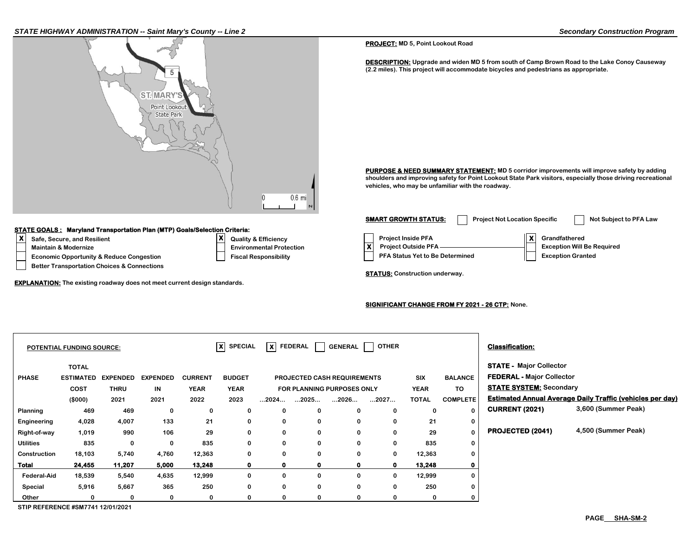

**0 0 0 0 0**

**0 0 0 0 0 0 0 0 0 0**

**0 0 0 0 0 0 0 0 0 0**

**Construction 18,103 5,740 4,760 12,363 0 12,363 Total 24,455 11,207 5,000 13,248 0 13,248 Federal-Aid 18,539 5,540 4,635 12,999 0 12,999 Special 5,916 5,667 365 250 0 250 Other 0 0 0 0 0 0**

**STIP REFERENCE #SM7741 12/01/2021**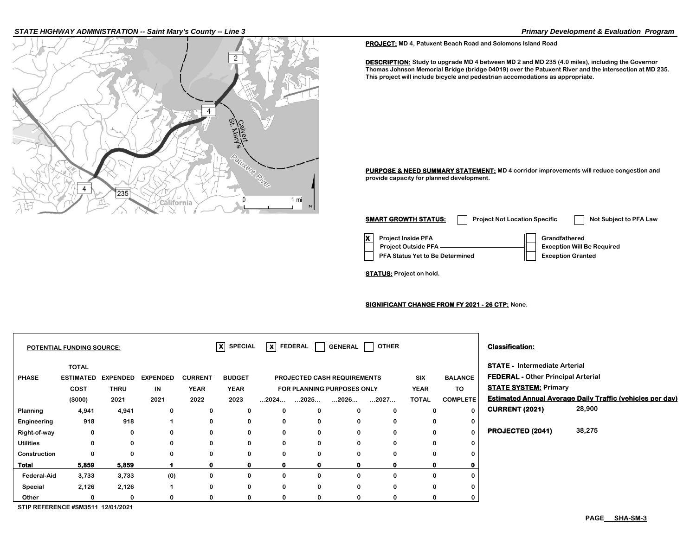#### *STATE HIGHWAY ADMINISTRATION -- Saint Mary's County -- Line 3 Primary Development & Evaluation Program*



**PROJECT: MD 4, Patuxent Beach Road and Solomons Island Road**

**DESCRIPTION: Study to upgrade MD 4 between MD 2 and MD 235 (4.0 miles), including the Governor Thomas Johnson Memorial Bridge (bridge 04019) over the Patuxent River and the intersection at MD 235. This project will include bicycle and pedestrian accomodations as appropriate.**

**PURPOSE & NEED SUMMARY STATEMENT: MD 4 corridor improvements will reduce congestion and provide capacity for planned development.**

**X Project Inside PFA Grandfathered PFA Status Yet to Be Determined | Exception Granted Project Outside PFA Exception Will Be Required SMART GROWTH STATUS:** Project Not Location Specific Not Subject to PFA Law

**STATUS: Project on hold.**

**SIGNIFICANT CHANGE FROM FY 2021 - 26 CTP: None.**

|                    | <b>POTENTIAL FUNDING SOURCE:</b>         |                 |                 |                | $ X $ SPECIAL |                      | $\overline{\mathsf{x}}$ FEDERAL $\Box$ |                                    | GENERAL   OTHER |              |                 | <b>Classification:</b>                    |                                                                  |  |
|--------------------|------------------------------------------|-----------------|-----------------|----------------|---------------|----------------------|----------------------------------------|------------------------------------|-----------------|--------------|-----------------|-------------------------------------------|------------------------------------------------------------------|--|
|                    | <b>TOTAL</b>                             |                 |                 |                |               |                      |                                        |                                    |                 |              |                 | <b>STATE - Intermediate Arterial</b>      |                                                                  |  |
| <b>PHASE</b>       | <b>ESTIMATED</b>                         | <b>EXPENDED</b> | <b>EXPENDED</b> | <b>CURRENT</b> | <b>BUDGET</b> |                      |                                        | <b>PROJECTED CASH REQUIREMENTS</b> |                 | <b>SIX</b>   | <b>BALANCE</b>  | <b>FEDERAL - Other Principal Arterial</b> |                                                                  |  |
|                    | <b>COST</b>                              | <b>THRU</b>     | IN              | <b>YEAR</b>    | <b>YEAR</b>   |                      |                                        | FOR PLANNING PURPOSES ONLY         |                 | <b>YEAR</b>  | TO              | <b>STATE SYSTEM: Primary</b>              |                                                                  |  |
|                    | (\$000)                                  | 2021            | 2021            | 2022           | 2023          | $\dots$ 2024 $\dots$ | $\dots$ 2025 $\dots$                   | $\dots$ 2026 $\dots$               | 2027            | <b>TOTAL</b> | <b>COMPLETE</b> |                                           | <b>Estimated Annual Average Daily Traffic (vehicles per day)</b> |  |
| Planning           | 4,941                                    | 4,941           | 0               | 0              | 0             | 0                    | 0                                      | $\Omega$                           | $\Omega$        | 0            | $\Omega$        | <b>CURRENT (2021)</b>                     | 28,900                                                           |  |
| Engineering        | 918                                      | 918             |                 | 0              | 0             | 0                    | 0                                      | 0                                  | 0               | 0            | 0               |                                           |                                                                  |  |
| Right-of-way       | 0                                        | 0               | 0               | 0              | 0             | 0                    | 0                                      | 0                                  | $\bf{0}$        | 0            | $\bf{0}$        | <b>PROJECTED (2041)</b>                   | 38,275                                                           |  |
| <b>Utilities</b>   | $\bf{0}$                                 | 0               | 0               | 0              | 0             | 0                    | 0                                      | 0                                  | $\bf{0}$        | 0            | 0               |                                           |                                                                  |  |
| Construction       |                                          | 0               | 0               | 0              | $\mathbf{0}$  | 0                    | 0                                      | $\Omega$                           |                 | 0            |                 |                                           |                                                                  |  |
| Total              | 5,859                                    | 5,859           |                 | $\mathbf 0$    | $\mathbf o$   | $\mathbf 0$          | $\mathbf 0$                            | $\mathbf o$                        |                 | 0            |                 |                                           |                                                                  |  |
| <b>Federal-Aid</b> | 3,733                                    | 3,733           | (0)             | 0              | 0             | 0                    | $\mathbf 0$                            | $\Omega$                           |                 | 0            |                 |                                           |                                                                  |  |
| Special            | 2,126                                    | 2,126           |                 | 0              | 0             | 0                    | 0                                      | 0                                  | 0               | 0            |                 |                                           |                                                                  |  |
| Other              |                                          | 0               |                 | 0              |               | 0                    | $\Omega$                               | ŋ                                  |                 | 0            |                 |                                           |                                                                  |  |
|                    | <b>CTID DEEEDENCE #CM2E44 40/04/2024</b> |                 |                 |                |               |                      |                                        |                                    |                 |              |                 |                                           |                                                                  |  |

**STIP REFERENCE #SM3511 12/01/2021**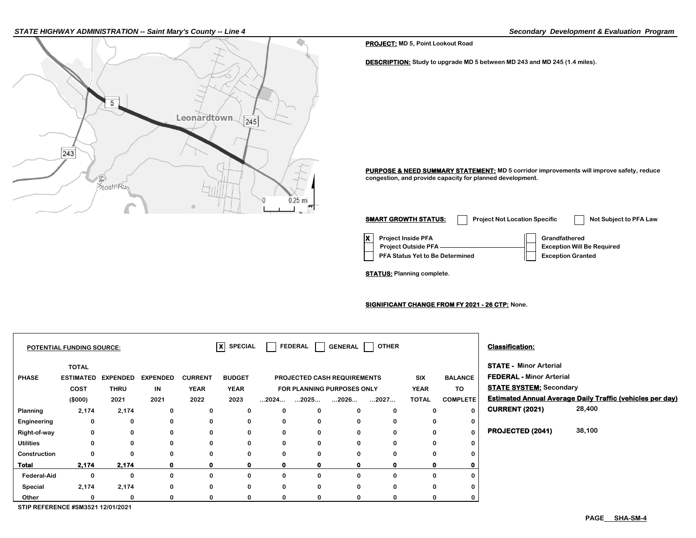#### *STATE HIGHWAY ADMINISTRATION -- Saint Mary's County -- Line 4 Secondary Development & Evaluation Program*



**PROJECT: MD 5, Point Lookout Road**

**DESCRIPTION: Study to upgrade MD 5 between MD 243 and MD 245 (1.4 miles).**

**PURPOSE & NEED SUMMARY STATEMENT: MD 5 corridor improvements will improve safety, reduce congestion, and provide capacity for planned development.**

**X** Project Inside PFA **Grandfathered PFA Status Yet to Be Determined**  $||$  **Exception Granted Project Outside PFA Exception Will Be Required SMART GROWTH STATUS:** Project Not Location Specific Not Subject to PFA Law

**STATUS: Planning complete.**

**SIGNIFICANT CHANGE FROM FY 2021 - 26 CTP: None.**

|                                   | POTENTIAL FUNDING SOURCE:        |                 |                 |                | $\overline{\mathsf{x}}$ SPECIAL |              | FEDERAL              | <b>GENERAL</b>              | OTHER        |              |                 | <b>Classification:</b>                                           |                                                                  |  |
|-----------------------------------|----------------------------------|-----------------|-----------------|----------------|---------------------------------|--------------|----------------------|-----------------------------|--------------|--------------|-----------------|------------------------------------------------------------------|------------------------------------------------------------------|--|
| <b>PHASE</b>                      | <b>TOTAL</b><br><b>ESTIMATED</b> | <b>EXPENDED</b> | <b>EXPENDED</b> | <b>CURRENT</b> | <b>BUDGET</b>                   |              |                      | PROJECTED CASH REQUIREMENTS |              | SIX          | <b>BALANCE</b>  | <b>STATE - Minor Arterial</b><br><b>FEDERAL - Minor Arterial</b> |                                                                  |  |
|                                   | <b>COST</b>                      | <b>THRU</b>     | IN              | <b>YEAR</b>    | <b>YEAR</b>                     |              |                      | FOR PLANNING PURPOSES ONLY  |              | <b>YEAR</b>  | TO              | <b>STATE SYSTEM: Secondary</b>                                   |                                                                  |  |
|                                   | (\$000)                          | 2021            | 2021            | 2022           | 2023                            | …2024…       | $\dots$ 2025 $\dots$ | $\dots$ 2026 $\dots$        | 2027         | <b>TOTAL</b> | <b>COMPLETE</b> |                                                                  | <b>Estimated Annual Average Daily Traffic (vehicles per day)</b> |  |
| Planning                          | 2,174                            | 2,174           | 0               | 0              | 0                               | 0            | 0                    | $\bf{0}$                    | 0            | 0            | 0               | <b>CURRENT (2021)</b>                                            | 28,400                                                           |  |
| Engineering                       | 0                                | 0               | 0               | 0              | 0                               | 0            | 0                    | 0                           | 0            | 0            | 0               |                                                                  |                                                                  |  |
| Right-of-way                      | 0                                | 0               | 0               | 0              | 0                               | 0            | 0                    | 0                           | 0            | 0            | $\bf{0}$        | PROJECTED (2041)                                                 | 38,100                                                           |  |
| <b>Utilities</b>                  | 0                                | 0               | $\bf{0}$        | 0              | 0                               | $\mathbf 0$  | 0                    | $\bf{0}$                    | $\mathbf{0}$ | $\Omega$     | 0               |                                                                  |                                                                  |  |
| Construction                      | 0                                |                 | $\Omega$        | 0              | 0                               | 0            | 0                    | 0                           | 0            | $\Omega$     | $\Omega$        |                                                                  |                                                                  |  |
| Total                             | 2,174                            | 2,174           |                 | $\mathbf 0$    | 0                               | $\mathbf{o}$ | 0                    | 0                           | 0            |              |                 |                                                                  |                                                                  |  |
| <b>Federal-Aid</b>                | 0                                | O               | 0               | 0              | 0                               | 0            | 0                    | 0                           | 0            | $\Omega$     | $\Omega$        |                                                                  |                                                                  |  |
| Special                           | 2,174                            | 2,174           | 0               | 0              | 0                               | 0            | 0                    | 0                           | 0            | $\Omega$     | 0               |                                                                  |                                                                  |  |
| Other                             |                                  |                 |                 | 0              | 0                               | 0            | $\Omega$             | 0                           | 0            |              |                 |                                                                  |                                                                  |  |
| STIP REFERENCE #SM3521 12/01/2021 |                                  |                 |                 |                |                                 |              |                      |                             |              |              |                 |                                                                  |                                                                  |  |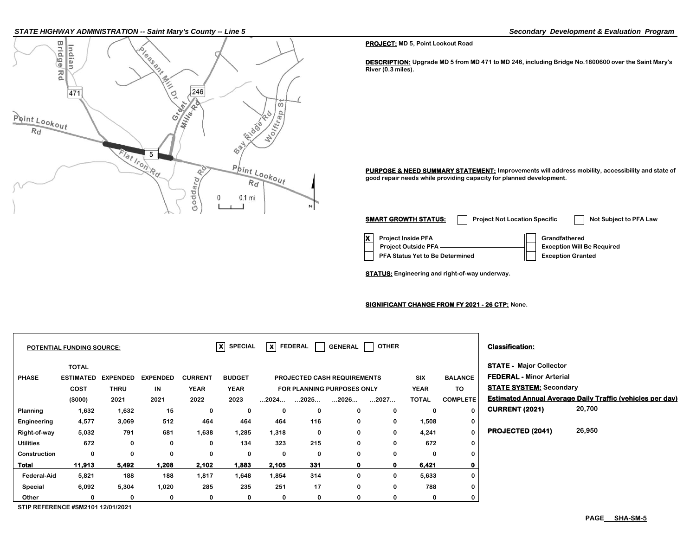#### *STATE HIGHWAY ADMINISTRATION -- Saint Mary's County -- Line 5 Secondary Development & Evaluation Program*



**PROJECT: MD 5, Point Lookout Road**

**DESCRIPTION: Upgrade MD 5 from MD 471 to MD 246, including Bridge No.1800600 over the Saint Mary's River (0.3 miles).**

PURPOSE & NEED SUMMARY STATEMENT: Improvements will address mobility, accessibility and state of **good repair needs while providing capacity for planned development.**

**X Project Inside PFA Grandfathered PFA Status Yet to Be Determined**  Exception Granted  **Project Outside PFA Exception Will Be Required SMART GROWTH STATUS:** Project Not Location Specific Not Subject to PFA Law

**STATUS: Engineering and right-of-way underway.**

#### **SIGNIFICANT CHANGE FROM FY 2021 - 26 CTP: None.**

|                    | <b>POTENTIAL FUNDING SOURCE:</b>         |                                |                        |                               | $ X $ SPECIAL                | $\vert x \vert$ FEDERAL |              | <b>GENERAL</b>                                                   | <b>OTHER</b> |                    |                      | <b>Classification:</b>                                                                              |                                                                  |
|--------------------|------------------------------------------|--------------------------------|------------------------|-------------------------------|------------------------------|-------------------------|--------------|------------------------------------------------------------------|--------------|--------------------|----------------------|-----------------------------------------------------------------------------------------------------|------------------------------------------------------------------|
| <b>PHASE</b>       | <b>TOTAL</b><br><b>ESTIMATED</b><br>COST | <b>EXPENDED</b><br><b>THRU</b> | <b>EXPENDED</b><br>IN. | <b>CURRENT</b><br><b>YEAR</b> | <b>BUDGET</b><br><b>YEAR</b> |                         |              | <b>PROJECTED CASH REQUIREMENTS</b><br>FOR PLANNING PURPOSES ONLY |              | SIX<br><b>YEAR</b> | <b>BALANCE</b><br>TO | <b>STATE - Major Collector</b><br><b>FEDERAL - Minor Arterial</b><br><b>STATE SYSTEM: Secondary</b> |                                                                  |
|                    | (\$000)                                  | 2021                           | 2021                   | 2022                          | 2023                         | $\dots$ 2024 $\dots$    | 2025         | 2026                                                             | 2027         | <b>TOTAL</b>       | <b>COMPLETE</b>      |                                                                                                     | <b>Estimated Annual Average Daily Traffic (vehicles per day)</b> |
| Planning           | 1,632                                    | 1,632                          | 15                     | 0                             | 0                            | 0                       | 0            | 0                                                                | $\bf{0}$     | 0                  |                      | <b>CURRENT (2021)</b>                                                                               | 20,700                                                           |
| Engineering        | 4,577                                    | 3,069                          | 512                    | 464                           | 464                          | 464                     | 116          | 0                                                                | 0            | 1,508              | 0                    |                                                                                                     |                                                                  |
| Right-of-way       | 5,032                                    | 791                            | 681                    | 1,638                         | 1,285                        | 1,318                   | 0            | 0                                                                | $\mathbf 0$  | 4,241              | $\bf{0}$             | PROJECTED (2041)                                                                                    | 26,950                                                           |
| <b>Utilities</b>   | 672                                      | 0                              | 0                      | 0                             | 134                          | 323                     | 215          | 0                                                                | 0            | 672                | $\mathbf 0$          |                                                                                                     |                                                                  |
| Construction       | 0                                        | 0                              | 0                      | 0                             | 0                            | 0                       | $\mathbf{0}$ | 0                                                                | $\mathbf{0}$ | 0                  |                      |                                                                                                     |                                                                  |
| <b>Total</b>       | 11,913                                   | 5,492                          | 1,208                  | 2,102                         | 1,883                        | 2,105                   | 331          | $\mathbf 0$                                                      | $\mathbf{0}$ | 6,421              |                      |                                                                                                     |                                                                  |
| <b>Federal-Aid</b> | 5,821                                    | 188                            | 188                    | 1,817                         | 1,648                        | 1,854                   | 314          | 0                                                                | 0            | 5,633              | 0                    |                                                                                                     |                                                                  |
| Special            | 6,092                                    | 5,304                          | 1,020                  | 285                           | 235                          | 251                     | 17           | $\mathbf 0$                                                      | $\mathbf 0$  | 788                |                      |                                                                                                     |                                                                  |
| Other              | 0                                        | 0                              | 0                      | 0                             | 0                            | 0                       | 0            | 0                                                                |              | 0                  |                      |                                                                                                     |                                                                  |

**STIP REFERENCE #SM2101 12/01/2021**